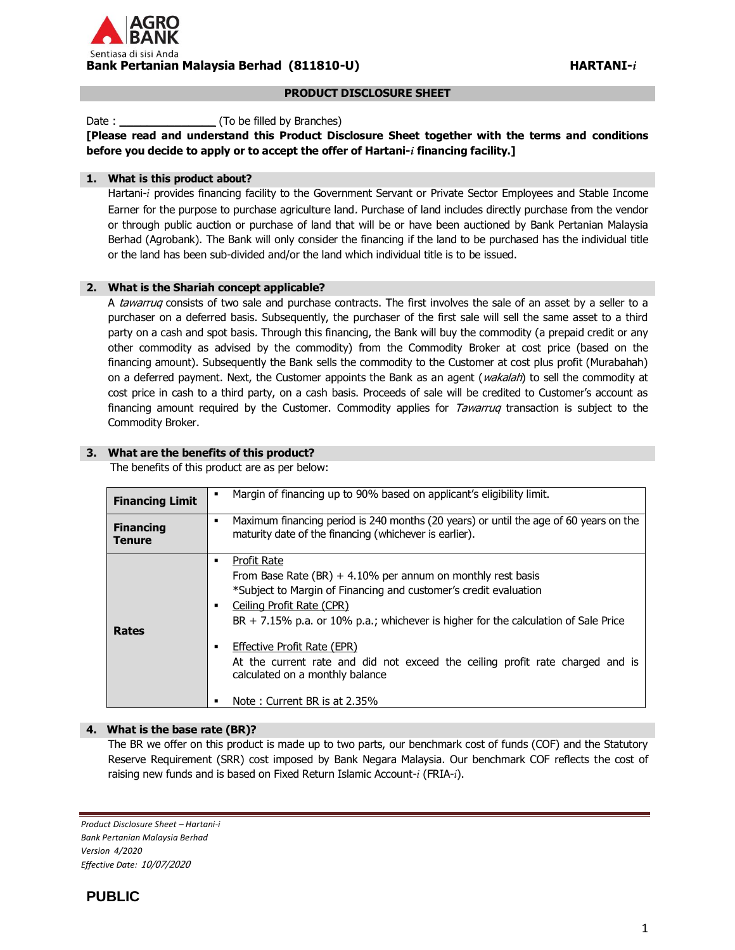

#### **PRODUCT DISCLOSURE SHEET**

Date : **Date :** (To be filled by Branches)

**[Please read and understand this Product Disclosure Sheet together with the terms and conditions before you decide to apply or to accept the offer of Hartani-***i* **financing facility.]**

# **1. What is this product about?**

Hartani-*i* provides financing facility to the Government Servant or Private Sector Employees and Stable Income Earner for the purpose to purchase agriculture land. Purchase of land includes directly purchase from the vendor or through public auction or purchase of land that will be or have been auctioned by Bank Pertanian Malaysia Berhad (Agrobank). The Bank will only consider the financing if the land to be purchased has the individual title or the land has been sub-divided and/or the land which individual title is to be issued.

# **2. What is the Shariah concept applicable?**

A tawarruq consists of two sale and purchase contracts. The first involves the sale of an asset by a seller to a purchaser on a deferred basis. Subsequently, the purchaser of the first sale will sell the same asset to a third party on a cash and spot basis. Through this financing, the Bank will buy the commodity (a prepaid credit or any other commodity as advised by the commodity) from the Commodity Broker at cost price (based on the financing amount). Subsequently the Bank sells the commodity to the Customer at cost plus profit (Murabahah) on a deferred payment. Next, the Customer appoints the Bank as an agent (*wakalah*) to sell the commodity at cost price in cash to a third party, on a cash basis. Proceeds of sale will be credited to Customer's account as financing amount required by the Customer. Commodity applies for Tawarruq transaction is subject to the Commodity Broker.

# **3. What are the benefits of this product?**

The benefits of this product are as per below:

| <b>Financing Limit</b>            | Margin of financing up to 90% based on applicant's eligibility limit.                                                                                |
|-----------------------------------|------------------------------------------------------------------------------------------------------------------------------------------------------|
| <b>Financing</b><br><b>Tenure</b> | Maximum financing period is 240 months (20 years) or until the age of 60 years on the<br>٠<br>maturity date of the financing (whichever is earlier). |
|                                   | Profit Rate                                                                                                                                          |
|                                   | From Base Rate (BR) + 4.10% per annum on monthly rest basis                                                                                          |
|                                   | *Subject to Margin of Financing and customer's credit evaluation                                                                                     |
|                                   | Ceiling Profit Rate (CPR)                                                                                                                            |
|                                   | $BR + 7.15\%$ p.a. or 10% p.a.; whichever is higher for the calculation of Sale Price                                                                |
| <b>Rates</b>                      |                                                                                                                                                      |
|                                   | Effective Profit Rate (EPR)                                                                                                                          |
|                                   | At the current rate and did not exceed the ceiling profit rate charged and is                                                                        |
|                                   | calculated on a monthly balance                                                                                                                      |
|                                   |                                                                                                                                                      |
|                                   | Note: Current BR is at 2.35%                                                                                                                         |

#### **4. What is the base rate (BR)?**

The BR we offer on this product is made up to two parts, our benchmark cost of funds (COF) and the Statutory Reserve Requirement (SRR) cost imposed by Bank Negara Malaysia. Our benchmark COF reflects the cost of raising new funds and is based on Fixed Return Islamic Account-*i* (FRIA-*i*).

*Product Disclosure Sheet – Hartani-i Bank Pertanian Malaysia Berhad Version 4/2020 Effective Date:* 10/07/2020

# **PUBLIC**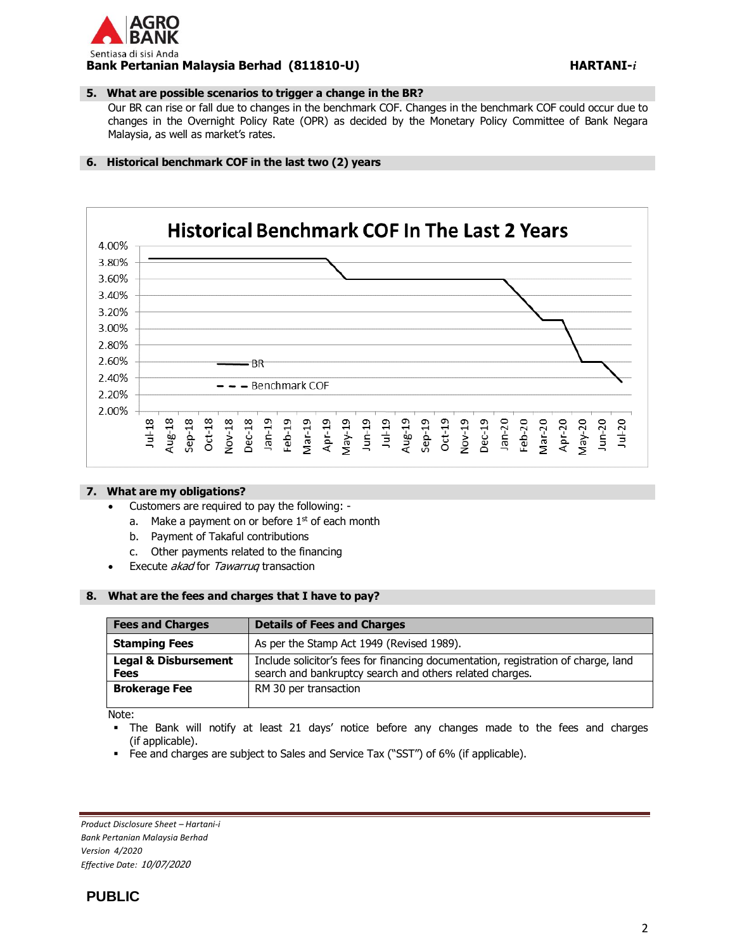# GRO Sentiasa di sisi Anda **Bank Pertanian Malaysia Berhad (811810-U) HARTANI-***i*

# **5. What are possible scenarios to trigger a change in the BR?**

Our BR can rise or fall due to changes in the benchmark COF. Changes in the benchmark COF could occur due to changes in the Overnight Policy Rate (OPR) as decided by the Monetary Policy Committee of Bank Negara Malaysia, as well as market's rates.

# **6. Historical benchmark COF in the last two (2) years**



#### **7. What are my obligations?**

- Customers are required to pay the following:
	- a. Make a payment on or before  $1<sup>st</sup>$  of each month
	- b. Payment of Takaful contributions
	- c. Other payments related to the financing
- Execute akad for Tawarruq transaction

### **8. What are the fees and charges that I have to pay?**

| <b>Fees and Charges</b>                        | <b>Details of Fees and Charges</b>                                                                                                             |
|------------------------------------------------|------------------------------------------------------------------------------------------------------------------------------------------------|
| <b>Stamping Fees</b>                           | As per the Stamp Act 1949 (Revised 1989).                                                                                                      |
| <b>Legal &amp; Disbursement</b><br><b>Fees</b> | Include solicitor's fees for financing documentation, registration of charge, land<br>search and bankruptcy search and others related charges. |
| <b>Brokerage Fee</b>                           | RM 30 per transaction                                                                                                                          |

Note:

- The Bank will notify at least 21 days' notice before any changes made to the fees and charges (if applicable).
- Fee and charges are subject to Sales and Service Tax ("SST") of 6% (if applicable).

*Product Disclosure Sheet – Hartani-i Bank Pertanian Malaysia Berhad Version 4/2020 Effective Date:* 10/07/2020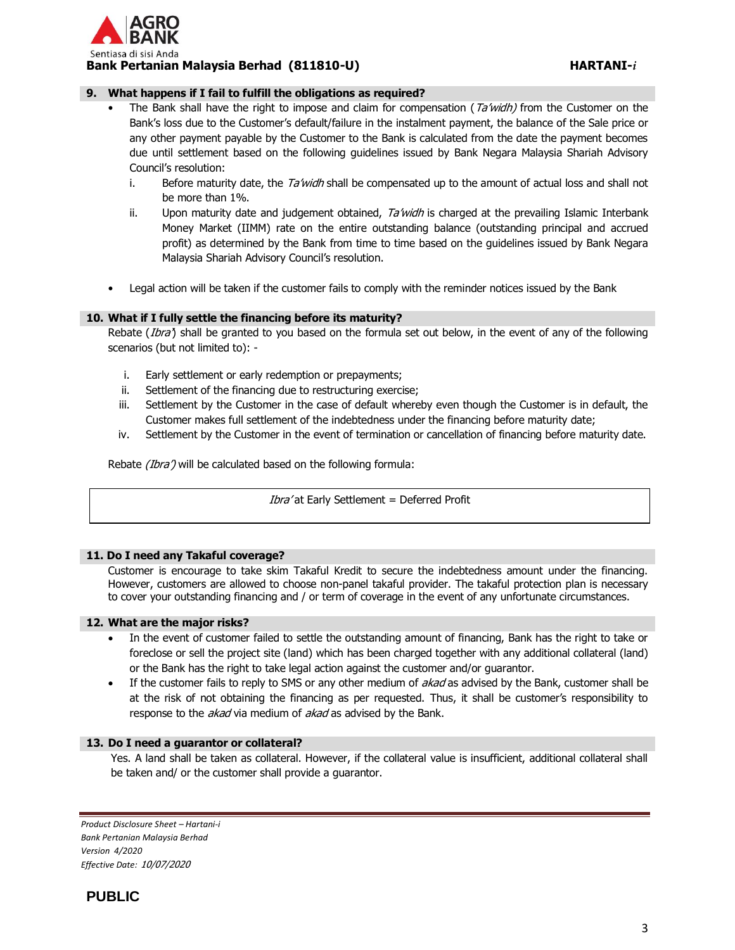

# **9. What happens if I fail to fulfill the obligations as required?**

- The Bank shall have the right to impose and claim for compensation ( $Ta'width$ ) from the Customer on the Bank's loss due to the Customer's default/failure in the instalment payment, the balance of the Sale price or any other payment payable by the Customer to the Bank is calculated from the date the payment becomes due until settlement based on the following guidelines issued by Bank Negara Malaysia Shariah Advisory Council's resolution:
	- i. Before maturity date, the  $T_a$  widh shall be compensated up to the amount of actual loss and shall not be more than 1%.
	- ii. Upon maturity date and judgement obtained,  $T_a$  *widh* is charged at the prevailing Islamic Interbank Money Market (IIMM) rate on the entire outstanding balance (outstanding principal and accrued profit) as determined by the Bank from time to time based on the guidelines issued by Bank Negara Malaysia Shariah Advisory Council's resolution.
- Legal action will be taken if the customer fails to comply with the reminder notices issued by the Bank

# **10. What if I fully settle the financing before its maturity?**

Rebate (*Ibra*) shall be granted to you based on the formula set out below, in the event of any of the following scenarios (but not limited to): -

- i. Early settlement or early redemption or prepayments;
- ii. Settlement of the financing due to restructuring exercise;
- iii. Settlement by the Customer in the case of default whereby even though the Customer is in default, the Customer makes full settlement of the indebtedness under the financing before maturity date;
- iv. Settlement by the Customer in the event of termination or cancellation of financing before maturity date.

Rebate *(Ibra')* will be calculated based on the following formula:

Ibra' at Early Settlement = Deferred Profit

# **11. Do I need any Takaful coverage?**

Customer is encourage to take skim Takaful Kredit to secure the indebtedness amount under the financing. However, customers are allowed to choose non-panel takaful provider. The takaful protection plan is necessary to cover your outstanding financing and / or term of coverage in the event of any unfortunate circumstances.

#### **12. What are the major risks?**

- In the event of customer failed to settle the outstanding amount of financing, Bank has the right to take or foreclose or sell the project site (land) which has been charged together with any additional collateral (land) or the Bank has the right to take legal action against the customer and/or guarantor.
- If the customer fails to reply to SMS or any other medium of *akad* as advised by the Bank, customer shall be at the risk of not obtaining the financing as per requested. Thus, it shall be customer's responsibility to response to the *akad* via medium of akad as advised by the Bank.

#### **13. Do I need a guarantor or collateral?**

Yes. A land shall be taken as collateral. However, if the collateral value is insufficient, additional collateral shall be taken and/ or the customer shall provide a guarantor.

*Product Disclosure Sheet – Hartani-i Bank Pertanian Malaysia Berhad Version 4/2020 Effective Date:* 10/07/2020

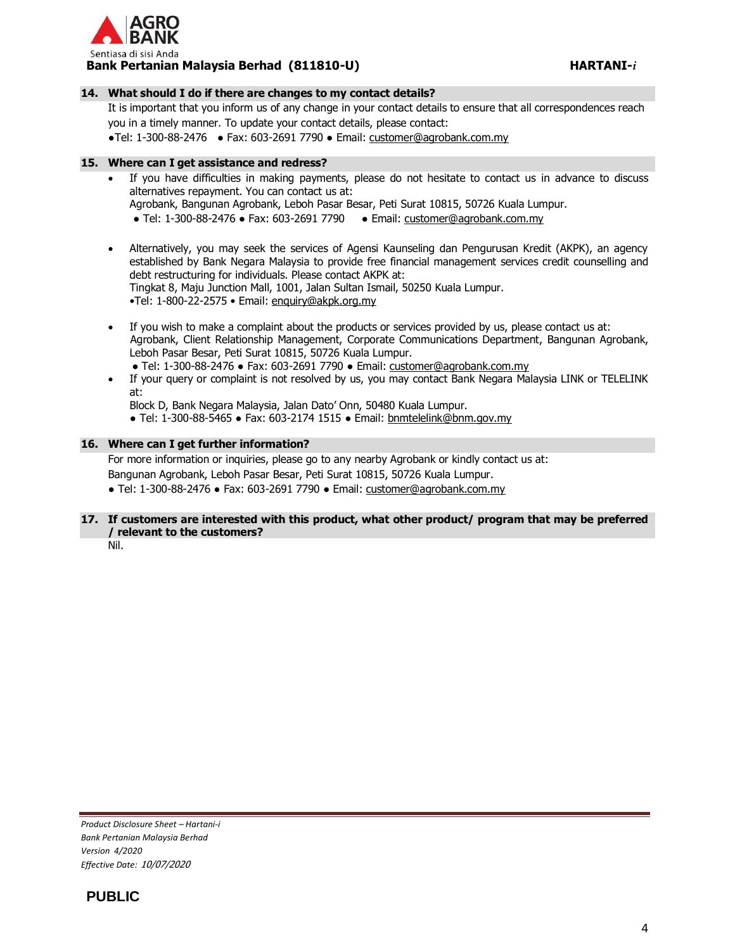

# **14. What should I do if there are changes to my contact details?**

It is important that you inform us of any change in your contact details to ensure that all correspondences reach you in a timely manner. To update your contact details, please contact:

●Tel: 1-300-88-2476 ● Fax: 603-2691 7790 ● Email: [customer@agrobank.com.my](mailto:customer@agrobank.com.my)

#### **15. Where can I get assistance and redress?**

 If you have difficulties in making payments, please do not hesitate to contact us in advance to discuss alternatives repayment. You can contact us at:

Agrobank, Bangunan Agrobank, Leboh Pasar Besar, Peti Surat 10815, 50726 Kuala Lumpur.

- Tel: 1-300-88-2476 Fax: 603-2691 7790 Email: [customer@agrobank.com.my](mailto:customer@agrobank.com.my)
- Alternatively, you may seek the services of Agensi Kaunseling dan Pengurusan Kredit (AKPK), an agency established by Bank Negara Malaysia to provide free financial management services credit counselling and debt restructuring for individuals. Please contact AKPK at: Tingkat 8, Maju Junction Mall, 1001, Jalan Sultan Ismail, 50250 Kuala Lumpur. •Tel: 1-800-22-2575 • Email: [enquiry@akpk.org.my](mailto:enquiry@akpk.org.my)
- If you wish to make a complaint about the products or services provided by us, please contact us at: Agrobank, Client Relationship Management, Corporate Communications Department, Bangunan Agrobank, Leboh Pasar Besar, Peti Surat 10815, 50726 Kuala Lumpur. ● Tel: 1-300-88-2476 ● Fax: 603-2691 7790 ● Email: [customer@agrobank.com.my](mailto:customer@agrobank.com.my)
- If your query or complaint is not resolved by us, you may contact Bank Negara Malaysia LINK or TELELINK at:

Block D, Bank Negara Malaysia, Jalan Dato' Onn, 50480 Kuala Lumpur.

● Tel: 1-300-88-5465 ● Fax: 603-2174 1515 ● Email: [bnmtelelink@bnm.gov.my](mailto:bnmtelelink@bnm.gov.my)

# **16. Where can I get further information?**

For more information or inquiries, please go to any nearby Agrobank or kindly contact us at: Bangunan Agrobank, Leboh Pasar Besar, Peti Surat 10815, 50726 Kuala Lumpur. ● Tel: 1-300-88-2476 ● Fax: 603-2691 7790 ● Email: [customer@agrobank.com.my](mailto:customer@agrobank.com.my)

# **17. If customers are interested with this product, what other product/ program that may be preferred / relevant to the customers?**

Nil.